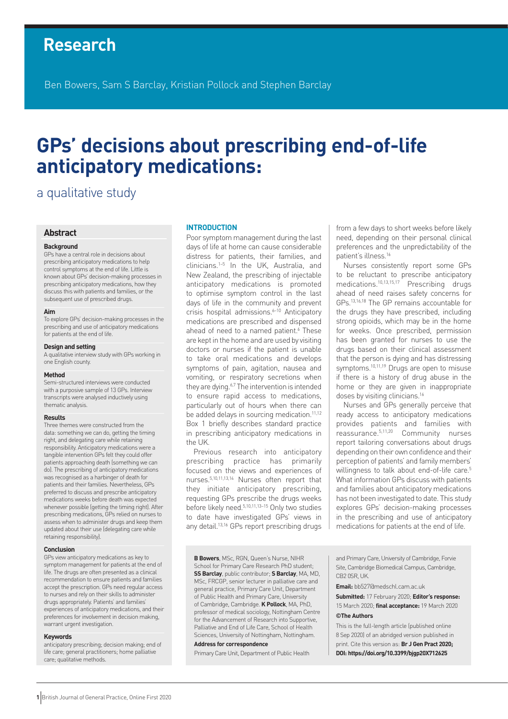# **Research**

Ben Bowers, Sam S Barclay, Kristian Pollock and Stephen Barclay

# **GPs' decisions about prescribing end-of-life anticipatory medications:**

## a qualitative study

#### **Abstract**

#### **Background**

GPs have a central role in decisions about prescribing anticipatory medications to help control symptoms at the end of life. Little is known about GPs' decision-making processes in prescribing anticipatory medications, how they discuss this with patients and families, or the subsequent use of prescribed drugs.

#### **Aim**

To explore GPs' decision-making processes in the prescribing and use of anticipatory medications for patients at the end of life.

#### **Design and setting**

A qualitative interview study with GPs working in one English county.

#### **Method**

Semi-structured interviews were conducted with a purposive sample of 13 GPs. Interview transcripts were analysed inductively using thematic analysis.

#### **Results**

Three themes were constructed from the data: something we can do, getting the timing right, and delegating care while retaining responsibility. Anticipatory medications were a tangible intervention GPs felt they could offer patients approaching death (something we can do). The prescribing of anticipatory medications was recognised as a harbinger of death for patients and their families. Nevertheless, GPs preferred to discuss and prescribe anticipatory medications weeks before death was expected whenever possible (getting the timing right). After prescribing medications, GPs relied on nurses to assess when to administer drugs and keep them updated about their use (delegating care while retaining responsibility).

#### **Conclusion**

GPs view anticipatory medications as key to symptom management for patients at the end of life. The drugs are often presented as a clinical recommendation to ensure patients and families accept the prescription. GPs need regular access to nurses and rely on their skills to administer drugs appropriately. Patients' and families' experiences of anticipatory medications, and their preferences for involvement in decision making, warrant urgent investigation.

#### **Keywords**

anticipatory prescribing; decision making; end of life care; general practitioners; home palliative care; qualitative methods.

#### **INTRODUCTION**

Poor symptom management during the last days of life at home can cause considerable distress for patients, their families, and clinicians.1–5 In the UK, Australia, and New Zealand, the prescribing of injectable anticipatory medications is promoted to optimise symptom control in the last days of life in the community and prevent crisis hospital admissions.<sup>6-10</sup> Anticipatory medications are prescribed and dispensed ahead of need to a named patient.<sup>6</sup> These are kept in the home and are used by visiting doctors or nurses if the patient is unable to take oral medications and develops symptoms of pain, agitation, nausea and vomiting, or respiratory secretions when they are dying.<sup>6,7</sup> The intervention is intended to ensure rapid access to medications, particularly out of hours when there can be added delays in sourcing medication.<sup>11,12</sup> Box 1 briefly describes standard practice in prescribing anticipatory medications in the UK.

Previous research into anticipatory prescribing practice has primarily focused on the views and experiences of nurses.5,10,11,13,14 Nurses often report that they initiate anticipatory prescribing, requesting GPs prescribe the drugs weeks before likely need.5,10,11,13–15 Only two studies to date have investigated GPs' views in any detail.<sup>13,16</sup> GPs report prescribing drugs

from a few days to short weeks before likely need, depending on their personal clinical preferences and the unpredictability of the patient's illness.16

Nurses consistently report some GPs to be reluctant to prescribe anticipatory medications.10,13,15,17 Prescribing drugs ahead of need raises safety concerns for GPs.13,16,18 The GP remains accountable for the drugs they have prescribed, including strong opioids, which may be in the home for weeks. Once prescribed, permission has been granted for nurses to use the drugs based on their clinical assessment that the person is dying and has distressing symptoms.<sup>10,11,19</sup> Drugs are open to misuse if there is a history of drug abuse in the home or they are given in inappropriate doses by visiting clinicians.16

Nurses and GPs generally perceive that ready access to anticipatory medications provides patients and families with reassurance.5,11,20 Community nurses report tailoring conversations about drugs depending on their own confidence and their perception of patients' and family members' willingness to talk about end-of-life care.<sup>5</sup> What information GPs discuss with patients and families about anticipatory medications has not been investigated to date. This study explores GPs' decision-making processes in the prescribing and use of anticipatory medications for patients at the end of life.

**B Bowers**, MSc, RGN, Queen's Nurse, NIHR School for Primary Care Research PhD student; **SS Barclay**, public contributor; **S Barclay**, MA, MD, MSc, FRCGP, senior lecturer in palliative care and general practice, Primary Care Unit, Department of Public Health and Primary Care, University of Cambridge, Cambridge. **K Pollock**, MA, PhD, professor of medical sociology, Nottingham Centre for the Advancement of Research into Supportive, Palliative and End of Life Care, School of Health Sciences, University of Nottingham, Nottingham.

#### **Address for correspondence**

Primary Care Unit, Department of Public Health

and Primary Care, University of Cambridge, Forvie Site, Cambridge Biomedical Campus, Cambridge, CB2 0SR, UK.

**Email:** bb527@medschl.cam.ac.uk

**Submitted:** 17 February 2020; **Editor's response:** 15 March 2020; **final acceptance:** 19 March 2020

#### **©The Authors**

This is the full-length article (published online 8 Sep 2020) of an abridged version published in print. Cite this version as: **Br J Gen Pract 2020; DOI: https://doi.org/10.3399/bjgp20X712625**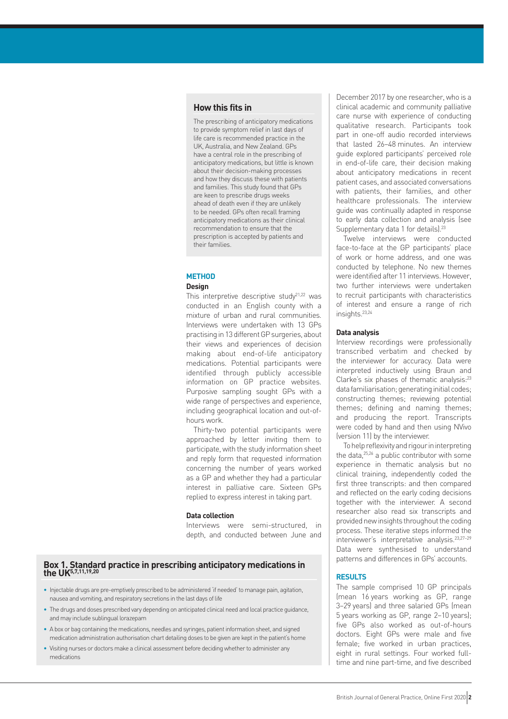#### **How this fits in**

The prescribing of anticipatory medications to provide symptom relief in last days of life care is recommended practice in the UK, Australia, and New Zealand. GPs have a central role in the prescribing of anticipatory medications, but little is known about their decision-making processes and how they discuss these with patients and families. This study found that GPs are keen to prescribe drugs weeks ahead of death even if they are unlikely to be needed. GPs often recall framing anticipatory medications as their clinical recommendation to ensure that the prescription is accepted by patients and their families.

#### **METHOD Design**

This interpretive descriptive study $21,22$  was conducted in an English county with a mixture of urban and rural communities. Interviews were undertaken with 13 GPs practising in 13 different GP surgeries, about their views and experiences of decision making about end-of-life anticipatory medications. Potential participants were identified through publicly accessible information on GP practice websites. Purposive sampling sought GPs with a wide range of perspectives and experience, including geographical location and out-ofhours work.

Thirty-two potential participants were approached by letter inviting them to participate, with the study information sheet and reply form that requested information concerning the number of years worked as a GP and whether they had a particular interest in palliative care. Sixteen GPs replied to express interest in taking part.

#### **Data collection**

Interviews were semi-structured, in depth, and conducted between June and

#### **Box 1. Standard practice in prescribing anticipatory medications in the UK5,7,11,19,20**

- Injectable drugs are pre-emptively prescribed to be administered 'if needed' to manage pain, agitation, nausea and vomiting, and respiratory secretions in the last days of life
- The drugs and doses prescribed vary depending on anticipated clinical need and local practice guidance, and may include sublingual lorazepam
- A box or bag containing the medications, needles and syringes, patient information sheet, and signed medication administration authorisation chart detailing doses to be given are kept in the patient's home
- Visiting nurses or doctors make a clinical assessment before deciding whether to administer any medications

December 2017 by one researcher, who is a clinical academic and community palliative care nurse with experience of conducting qualitative research. Participants took part in one-off audio recorded interviews that lasted 26–48 minutes. An interview guide explored participants' perceived role in end-of-life care, their decision making about anticipatory medications in recent patient cases, and associated conversations with patients, their families, and other healthcare professionals. The interview guide was continually adapted in response to early data collection and analysis (see Supplementary data 1 for details).<sup>23</sup>

Twelve interviews were conducted face-to-face at the GP participants' place of work or home address, and one was conducted by telephone. No new themes were identified after 11 interviews. However, two further interviews were undertaken to recruit participants with characteristics of interest and ensure a range of rich insights.23,24

#### **Data analysis**

Interview recordings were professionally transcribed verbatim and checked by the interviewer for accuracy. Data were interpreted inductively using Braun and Clarke's six phases of thematic analysis:23 data familiarisation; generating initial codes; constructing themes; reviewing potential themes; defining and naming themes; and producing the report. Transcripts were coded by hand and then using NVivo (version 11) by the interviewer.

To help reflexivity and rigour in interpreting the data,25,26 a public contributor with some experience in thematic analysis but no clinical training, independently coded the first three transcripts: and then compared and reflected on the early coding decisions together with the interviewer. A second researcher also read six transcripts and provided new insights throughout the coding process. These iterative steps informed the interviewer's interpretative analysis.23,27–29 Data were synthesised to understand patterns and differences in GPs' accounts.

#### **RESULTS**

The sample comprised 10 GP principals (mean 16 years working as GP, range 3–29 years) and three salaried GPs (mean 5 years working as GP, range 2–10 years); five GPs also worked as out-of-hours doctors. Eight GPs were male and five female; five worked in urban practices, eight in rural settings. Four worked fulltime and nine part-time, and five described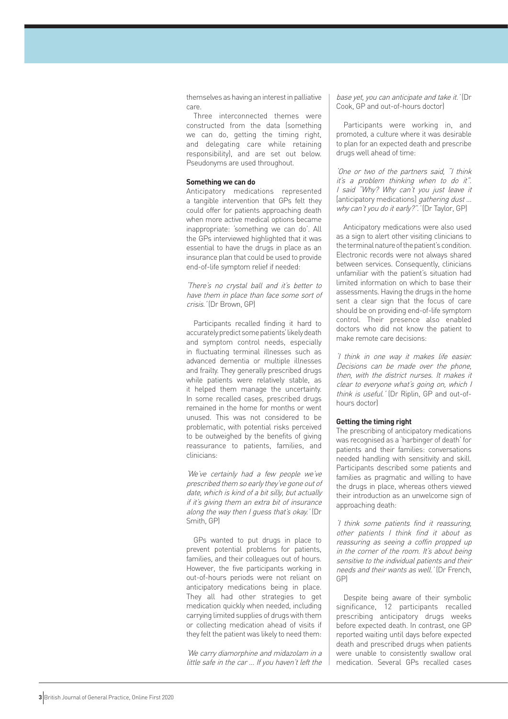themselves as having an interest in palliative care.

Three interconnected themes were constructed from the data (something we can do, getting the timing right, and delegating care while retaining responsibility), and are set out below. Pseudonyms are used throughout.

#### **Something we can do**

Anticipatory medications represented a tangible intervention that GPs felt they could offer for patients approaching death when more active medical options became inappropriate: 'something we can do'. All the GPs interviewed highlighted that it was essential to have the drugs in place as an insurance plan that could be used to provide end-of-life symptom relief if needed:

'There's no crystal ball and it's better to have them in place than face some sort of crisis.' (Dr Brown, GP)

Participants recalled finding it hard to accurately predict some patients' likely death and symptom control needs, especially in fluctuating terminal illnesses such as advanced dementia or multiple illnesses and frailty. They generally prescribed drugs while patients were relatively stable, as it helped them manage the uncertainty. In some recalled cases, prescribed drugs remained in the home for months or went unused. This was not considered to be problematic, with potential risks perceived to be outweighed by the benefits of giving reassurance to patients, families, and clinicians:

'We've certainly had a few people we've prescribed them so early they've gone out of date, which is kind of a bit silly, but actually if it's giving them an extra bit of insurance along the way then I guess that's okay.' (Dr Smith, GP)

GPs wanted to put drugs in place to prevent potential problems for patients, families, and their colleagues out of hours. However, the five participants working in out-of-hours periods were not reliant on anticipatory medications being in place. They all had other strategies to get medication quickly when needed, including carrying limited supplies of drugs with them or collecting medication ahead of visits if they felt the patient was likely to need them:

'We carry diamorphine and midazolam in a little safe in the car … If you haven't left the base yet, you can anticipate and take it.' (Dr Cook, GP and out-of-hours doctor)

Participants were working in, and promoted, a culture where it was desirable to plan for an expected death and prescribe drugs well ahead of time:

'One or two of the partners said, "I think it's a problem thinking when to do it". I said "Why? Why can't you just leave it [anticipatory medications] *gathering dust ...* why can't you do it early?".' (Dr Taylor, GP)

Anticipatory medications were also used as a sign to alert other visiting clinicians to the terminal nature of the patient's condition. Electronic records were not always shared between services. Consequently, clinicians unfamiliar with the patient's situation had limited information on which to base their assessments. Having the drugs in the home sent a clear sign that the focus of care should be on providing end-of-life symptom control. Their presence also enabled doctors who did not know the patient to make remote care decisions:

'I think in one way it makes life easier. Decisions can be made over the phone, then, with the district nurses. It makes it clear to everyone what's going on, which I think is useful.' (Dr Riplin, GP and out-ofhours doctor)

#### **Getting the timing right**

The prescribing of anticipatory medications was recognised as a 'harbinger of death' for patients and their families: conversations needed handling with sensitivity and skill. Participants described some patients and families as pragmatic and willing to have the drugs in place, whereas others viewed their introduction as an unwelcome sign of approaching death:

'I think some patients find it reassuring, other patients I think find it about as reassuring as seeing a coffin propped up in the corner of the room. It's about being sensitive to the individual patients and their needs and their wants as well.' (Dr French, GP)

Despite being aware of their symbolic significance, 12 participants recalled prescribing anticipatory drugs weeks before expected death. In contrast, one GP reported waiting until days before expected death and prescribed drugs when patients were unable to consistently swallow oral medication. Several GPs recalled cases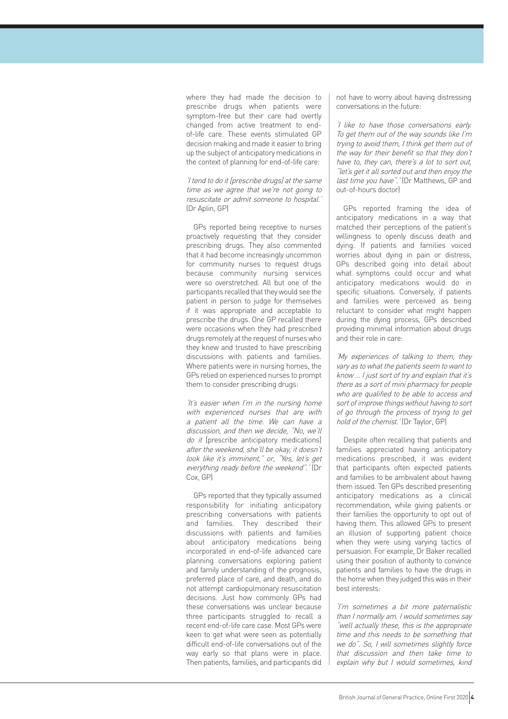where they had made the decision to prescribe drugs when patients were symptom-free but their care had overtly changed from active treatment to endof-life care. These events stimulated GP decision making and made it easier to bring up the subject of anticipatory medications in the context of planning for end-of-life care:

'I tend to do it [prescribe drugs] at the same time as we agree that we're not going to resuscitate or admit someone to hospital.' (Dr Aplin, GP)

GPs reported being receptive to nurses proactively requesting that they consider prescribing drugs. They also commented that it had become increasingly uncommon for community nurses to request drugs because community nursing services were so overstretched. All but one of the participants recalled that they would see the patient in person to judge for themselves if it was appropriate and acceptable to prescribe the drugs. One GP recalled there were occasions when they had prescribed drugs remotely at the request of nurses who they knew and trusted to have prescribing discussions with patients and families. Where patients were in nursing homes, the GPs relied on experienced nurses to prompt them to consider prescribing drugs:

'It's easier when I'm in the nursing home with experienced nurses that are with a patient all the time. We can have a discussion, and then we decide, "No, we'll do it [prescribe anticipatory medications] after the weekend, she'll be okay, it doesn't look like it's imminent," or, "Yes, let's get everything ready before the weekend".' (Dr Cox, GP)

GPs reported that they typically assumed responsibility for initiating anticipatory prescribing conversations with patients and families. They described their discussions with patients and families about anticipatory medications being incorporated in end-of-life advanced care planning conversations exploring patient and family understanding of the prognosis, preferred place of care, and death, and do not attempt cardiopulmonary resuscitation decisions. Just how commonly GPs had these conversations was unclear because three participants struggled to recall a recent end-of-life care case. Most GPs were keen to get what were seen as potentially difficult end-of-life conversations out of the way early so that plans were in place. Then patients, families, and participants did not have to worry about having distressing conversations in the future:

'I like to have those conversations early. To get them out of the way sounds like I'm trying to avoid them, I think get them out of the way for their benefit so that they don't have to, they can, there's a lot to sort out, "let's get it all sorted out and then enjoy the last time you have".' (Dr Matthews, GP and out-of-hours doctor)

GPs reported framing the idea of anticipatory medications in a way that matched their perceptions of the patient's willingness to openly discuss death and dying. If patients and families voiced worries about dying in pain or distress, GPs described going into detail about what symptoms could occur and what anticipatory medications would do in specific situations. Conversely, if patients and families were perceived as being reluctant to consider what might happen during the dying process, GPs described providing minimal information about drugs and their role in care:

'My experiences of talking to them, they vary as to what the patients seem to want to know … I just sort of try and explain that it's there as a sort of mini pharmacy for people who are qualified to be able to access and sort of improve things without having to sort of go through the process of trying to get hold of the chemist.' (Dr Taylor, GP)

Despite often recalling that patients and families appreciated having anticipatory medications prescribed, it was evident that participants often expected patients and families to be ambivalent about having them issued. Ten GPs described presenting anticipatory medications as a clinical recommendation, while giving patients or their families the opportunity to opt out of having them. This allowed GPs to present an illusion of supporting patient choice when they were using varying tactics of persuasion. For example, Dr Baker recalled using their position of authority to convince patients and families to have the drugs in the home when they judged this was in their best interests:

'I'm sometimes a bit more paternalistic than I normally am. I would sometimes say "well actually these, this is the appropriate time and this needs to be something that we do". So, I will sometimes slightly force that discussion and then take time to explain why but I would sometimes, kind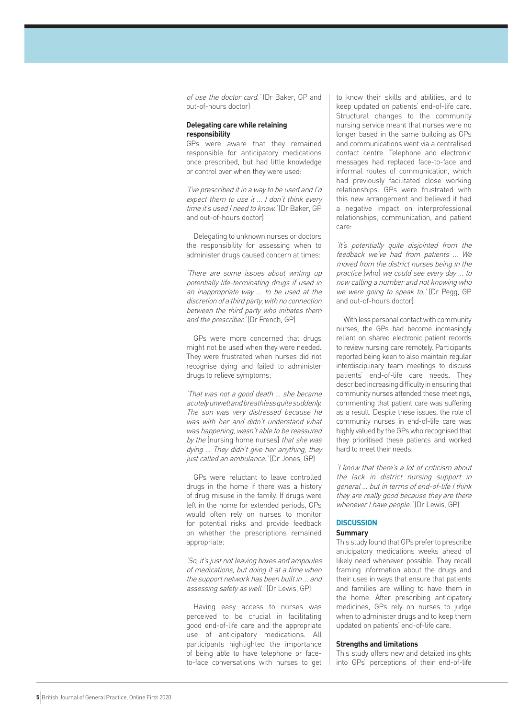of use the doctor card.' (Dr Baker, GP and out-of-hours doctor)

#### **Delegating care while retaining responsibility**

GPs were aware that they remained responsible for anticipatory medications once prescribed, but had little knowledge or control over when they were used:

'I've prescribed it in a way to be used and I'd expect them to use it … I don't think every time it's used I need to know.' (Dr Baker, GP and out-of-hours doctor)

Delegating to unknown nurses or doctors the responsibility for assessing when to administer drugs caused concern at times:

'There are some issues about writing up potentially life-terminating drugs if used in an inappropriate way … to be used at the discretion of a third party, with no connection between the third party who initiates them and the prescriber.' (Dr French, GP)

GPs were more concerned that drugs might not be used when they were needed. They were frustrated when nurses did not recognise dying and failed to administer drugs to relieve symptoms:

'That was not a good death … she became acutely unwell and breathless quite suddenly. The son was very distressed because he was with her and didn't understand what was happening, wasn't able to be reassured by the [nursing home nurses] that she was dying ... They didn't give her anything, they just called an ambulance.' (Dr Jones, GP)

GPs were reluctant to leave controlled drugs in the home if there was a history of drug misuse in the family. If drugs were left in the home for extended periods, GPs would often rely on nurses to monitor for potential risks and provide feedback on whether the prescriptions remained appropriate:

'So, it's just not leaving boxes and ampoules of medications, but doing it at a time when the support network has been built in … and assessing safety as well.' (Dr Lewis, GP)

Having easy access to nurses was perceived to be crucial in facilitating good end-of-life care and the appropriate use of anticipatory medications. All participants highlighted the importance of being able to have telephone or faceto-face conversations with nurses to get to know their skills and abilities, and to keep updated on patients' end-of-life care. Structural changes to the community nursing service meant that nurses were no longer based in the same building as GPs and communications went via a centralised contact centre. Telephone and electronic messages had replaced face-to-face and informal routes of communication, which had previously facilitated close working relationships. GPs were frustrated with this new arrangement and believed it had a negative impact on interprofessional relationships, communication, and patient care:

'It's potentially quite disjointed from the feedback we've had from patients … We moved from the district nurses being in the practice [who] we could see every day … to now calling a number and not knowing who we were going to speak to.' (Dr Pegg, GP and out-of-hours doctor)

With less personal contact with community nurses, the GPs had become increasingly reliant on shared electronic patient records to review nursing care remotely. Participants reported being keen to also maintain regular interdisciplinary team meetings to discuss patients' end-of-life care needs. They described increasing difficulty in ensuring that community nurses attended these meetings, commenting that patient care was suffering as a result. Despite these issues, the role of community nurses in end-of-life care was highly valued by the GPs who recognised that they prioritised these patients and worked hard to meet their needs:

'I know that there's a lot of criticism about the lack in district nursing support in general … but in terms of end-of-life I think they are really good because they are there whenever I have people.' (Dr Lewis, GP)

## **DISCUSSION**

#### **Summary**

This study found that GPs prefer to prescribe anticipatory medications weeks ahead of likely need whenever possible. They recall framing information about the drugs and their uses in ways that ensure that patients and families are willing to have them in the home. After prescribing anticipatory medicines, GPs rely on nurses to judge when to administer drugs and to keep them updated on patients' end-of-life care.

#### **Strengths and limitations**

This study offers new and detailed insights into GPs' perceptions of their end-of-life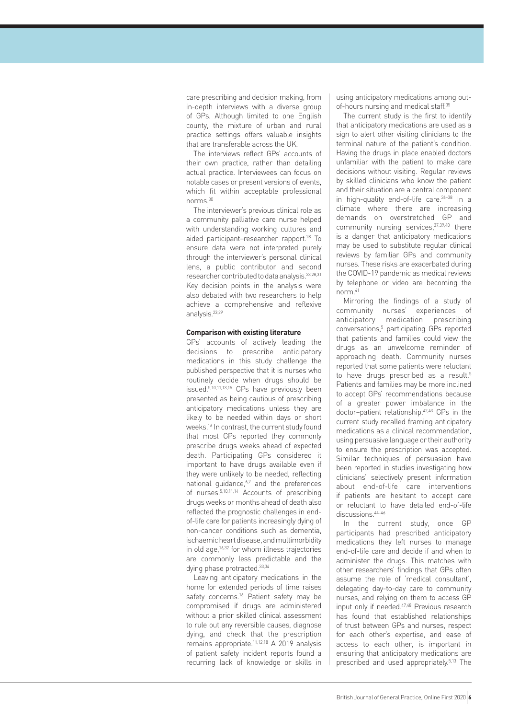care prescribing and decision making, from in-depth interviews with a diverse group of GPs. Although limited to one English county, the mixture of urban and rural practice settings offers valuable insights that are transferable across the UK.

The interviews reflect GPs' accounts of their own practice, rather than detailing actual practice. Interviewees can focus on notable cases or present versions of events, which fit within acceptable professional norms.30

The interviewer's previous clinical role as a community palliative care nurse helped with understanding working cultures and aided participant-researcher rapport.<sup>28</sup> To ensure data were not interpreted purely through the interviewer's personal clinical lens, a public contributor and second researcher contributed to data analysis.23,28,31 Key decision points in the analysis were also debated with two researchers to help achieve a comprehensive and reflexive analysis.23,29

#### **Comparison with existing literature**

GPs' accounts of actively leading the decisions to prescribe anticipatory medications in this study challenge the published perspective that it is nurses who routinely decide when drugs should be issued.5,10,11,13,15 GPs have previously been presented as being cautious of prescribing anticipatory medications unless they are likely to be needed within days or short weeks.16 In contrast, the current study found that most GPs reported they commonly prescribe drugs weeks ahead of expected death. Participating GPs considered it important to have drugs available even if they were unlikely to be needed, reflecting national guidance.<sup> $6,7$ </sup> and the preferences of nurses.5,10,11,14 Accounts of prescribing drugs weeks or months ahead of death also reflected the prognostic challenges in endof-life care for patients increasingly dying of non-cancer conditions such as dementia, ischaemic heart disease, and multimorbidity in old age,16,32 for whom illness trajectories are commonly less predictable and the dying phase protracted.<sup>33,34</sup>

Leaving anticipatory medications in the home for extended periods of time raises safety concerns.<sup>16</sup> Patient safety may be compromised if drugs are administered without a prior skilled clinical assessment to rule out any reversible causes, diagnose dying, and check that the prescription remains appropriate.11,12,18 A 2019 analysis of patient safety incident reports found a recurring lack of knowledge or skills in

using anticipatory medications among outof-hours nursing and medical staff.35

The current study is the first to identify that anticipatory medications are used as a sign to alert other visiting clinicians to the terminal nature of the patient's condition. Having the drugs in place enabled doctors unfamiliar with the patient to make care decisions without visiting. Regular reviews by skilled clinicians who know the patient and their situation are a central component in high-quality end-of-life care.<sup>36-38</sup> In a climate where there are increasing demands on overstretched GP and community nursing services, 37,39,40 there is a danger that anticipatory medications may be used to substitute regular clinical reviews by familiar GPs and community nurses. These risks are exacerbated during the COVID-19 pandemic as medical reviews by telephone or video are becoming the norm.41

Mirroring the findings of a study of community nurses' experiences of anticipatory medication prescribing conversations,5 participating GPs reported that patients and families could view the drugs as an unwelcome reminder of approaching death. Community nurses reported that some patients were reluctant to have drugs prescribed as a result.<sup>5</sup> Patients and families may be more inclined to accept GPs' recommendations because of a greater power imbalance in the doctor–patient relationship.42,43 GPs in the current study recalled framing anticipatory medications as a clinical recommendation, using persuasive language or their authority to ensure the prescription was accepted. Similar techniques of persuasion have been reported in studies investigating how clinicians' selectively present information about end-of-life care interventions if patients are hesitant to accept care or reluctant to have detailed end-of-life discussions<sup>44–46</sup>

In the current study, once GP participants had prescribed anticipatory medications they left nurses to manage end-of-life care and decide if and when to administer the drugs. This matches with other researchers' findings that GPs often assume the role of 'medical consultant', delegating day-to-day care to community nurses, and relying on them to access GP input only if needed.47,48 Previous research has found that established relationships of trust between GPs and nurses, respect for each other's expertise, and ease of access to each other, is important in ensuring that anticipatory medications are prescribed and used appropriately.5,13 The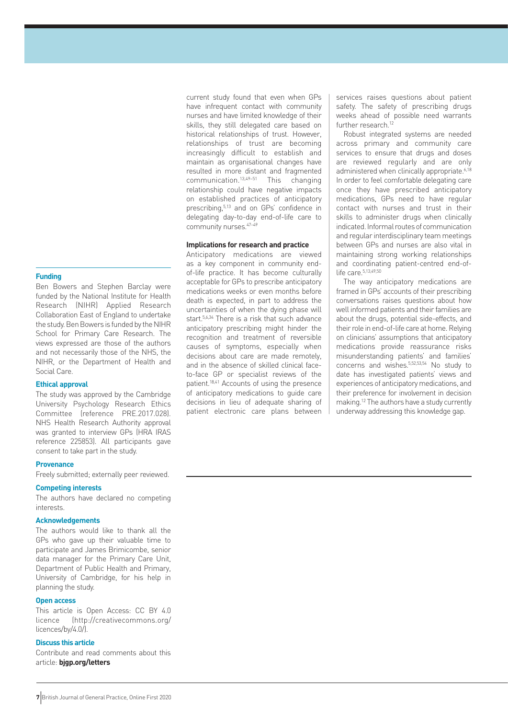#### **Funding**

Ben Bowers and Stephen Barclay were funded by the National Institute for Health Research (NIHR) Applied Research Collaboration East of England to undertake the study. Ben Bowers is funded by the NIHR School for Primary Care Research. The views expressed are those of the authors and not necessarily those of the NHS, the NIHR, or the Department of Health and Social Care.

#### **Ethical approval**

The study was approved by the Cambridge University Psychology Research Ethics Committee (reference PRE.2017.028). NHS Health Research Authority approval was granted to interview GPs (HRA IRAS reference 225853). All participants gave consent to take part in the study.

#### **Provenance**

Freely submitted; externally peer reviewed.

#### **Competing interests**

The authors have declared no competing interests.

#### **Acknowledgements**

The authors would like to thank all the GPs who gave up their valuable time to participate and James Brimicombe, senior data manager for the Primary Care Unit, Department of Public Health and Primary, University of Cambridge, for his help in planning the study.

#### **Open access**

This article is Open Access: CC BY 4.0 licence (http://creativecommons.org/ licences/by/4.0/).

#### **Discuss this article**

Contribute and read comments about this article: **bjgp.org/letters**

current study found that even when GPs have infrequent contact with community nurses and have limited knowledge of their skills, they still delegated care based on historical relationships of trust. However, relationships of trust are becoming increasingly difficult to establish and maintain as organisational changes have resulted in more distant and fragmented communication.13,49–51 This changing relationship could have negative impacts on established practices of anticipatory prescribing,<sup>5,13</sup> and on GPs' confidence in delegating day-to-day end-of-life care to community nurses.  $47-49$ 

#### **Implications for research and practice**

Anticipatory medications are viewed as a key component in community endof-life practice. It has become culturally acceptable for GPs to prescribe anticipatory medications weeks or even months before death is expected, in part to address the uncertainties of when the dying phase will start.5,6,34 There is a risk that such advance anticipatory prescribing might hinder the recognition and treatment of reversible causes of symptoms, especially when decisions about care are made remotely, and in the absence of skilled clinical faceto-face GP or specialist reviews of the patient.18,41 Accounts of using the presence of anticipatory medications to guide care decisions in lieu of adequate sharing of patient electronic care plans between

services raises questions about patient safety. The safety of prescribing drugs weeks ahead of possible need warrants further research.<sup>12</sup>

Robust integrated systems are needed across primary and community care services to ensure that drugs and doses are reviewed regularly and are only administered when clinically appropriate.<sup>6,18</sup> In order to feel comfortable delegating care once they have prescribed anticipatory medications, GPs need to have regular contact with nurses and trust in their skills to administer drugs when clinically indicated. Informal routes of communication and regular interdisciplinary team meetings between GPs and nurses are also vital in maintaining strong working relationships and coordinating patient-centred end-oflife care.5,13,49,50

The way anticipatory medications are framed in GPs' accounts of their prescribing conversations raises questions about how well informed patients and their families are about the drugs, potential side-effects, and their role in end-of-life care at home. Relying on clinicians' assumptions that anticipatory medications provide reassurance risks misunderstanding patients' and families' concerns and wishes.5,52,53,54 No study to date has investigated patients' views and experiences of anticipatory medications, and their preference for involvement in decision making.12 The authors have a study currently underway addressing this knowledge gap.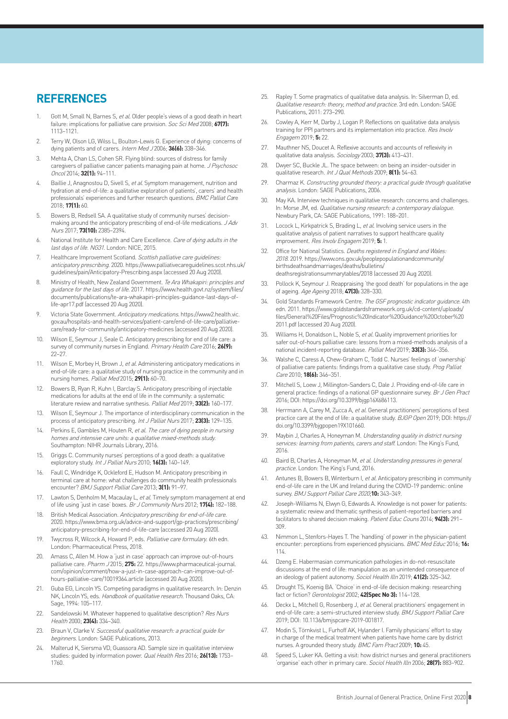### **REFERENCES**

- 1. Gott M, Small N, Barnes S, et al. Older people's views of a good death in heart failure: implications for palliative care provision. Soc Sci Med 2008; **67(7):**  1113–1121.
- 2. Terry W, Olson LG, Wilss L, Boulton-Lewis G. Experience of dying: concerns of dying patients and of carers. Intern Med J 2006; **36(6):** 338–346.
- 3. Mehta A, Chan LS, Cohen SR. Flying blind: sources of distress for family caregivers of palliative cancer patients managing pain at home. J Psychosoc Oncol 2014; **32(1):** 94–111.
- 4. Baillie J, Anagnostou D, Sivell S, et al. Symptom management, nutrition and hydration at end-of-life: a qualitative exploration of patients', carers' and health professionals' experiences and further research questions. BMC Palliat Care 2018; **17(1):** 60.
- 5. Bowers B, Redsell SA. A qualitative study of community nurses' decisionmaking around the anticipatory prescribing of end-of-life medications. J Adv Nurs 2017; **73(10):** 2385–2394.
- 6. National Institute for Health and Care Excellence. Care of dying adults in the last days of life. NG31. London: NICE, 2015.
- 7. Healthcare Improvement Scotland. Scottish palliative care guidelines: anticipatory prescribing. 2020. https://www.palliativecareguidelines.scot.nhs.uk/ guidelines/pain/Anticipatory-Prescribing.aspx (accessed 20 Aug 2020).
- 8. Ministry of Health, New Zealand Government. Te Ara Whakapiri: principles and guidance for the last days of life. 2017. https://www.health.govt.nz/system/files/ documents/publications/te-ara-whakapiri-principles-guidance-last-days-oflife-apr17.pdf (accessed 20 Aug 2020).
- Victoria State Government. Anticipatory medications. https://www2.health.vic. gov.au/hospitals-and-health-services/patient-care/end-of-life-care/palliativecare/ready-for-community/anticipatory-medicines (accessed 20 Aug 2020).
- 10. Wilson E, Seymour J, Seale C. Anticipatory prescribing for end of life care: a survey of community nurses in England. Primary Health Care 2016; **26(9):** 22–27.
- 11. Wilson E, Morbey H, Brown J, et al. Administering anticipatory medications in end-of-life care: a qualitative study of nursing practice in the community and in nursing homes. Palliat Med 2015; **29(1):** 60–70.
- 12. Bowers B, Ryan R, Kuhn I, Barclay S. Anticipatory prescribing of injectable medications for adults at the end of life in the community: a systematic literature review and narrative synthesis. Palliat Med 2019; **33(2):** 160–177.
- 13. Wilson E, Seymour J. The importance of interdisciplinary communication in the process of anticipatory prescribing. Int J Palliat Nurs 2017; **23(3):** 129–135.
- 14. Perkins E, Gambles M, Houten R, et al. The care of dying people in nursing homes and intensive care units: a qualitative mixed-methods study. Southampton: NIHR Journals Library, 2016.
- 15. Griggs C. Community nurses' perceptions of a good death: a qualitative exploratory study. Int J Palliat Nurs 2010; **16(3):** 140–149.
- 16. Faull C, Windridge K, Ockleford E, Hudson M. Anticipatory prescribing in terminal care at home: what challenges do community health professionals encounter? BMJ Support Palliat Care 2013; **3(1):** 91–97.
- 17. Lawton S, Denholm M, Macaulay L, et al. Timely symptom management at end of life using 'just in case' boxes. Br J Community Nurs 2012; **17(4):** 182–188.
- 18. British Medical Association. Anticipatory prescribing for end-of-life care 2020. https://www.bma.org.uk/advice-and-support/gp-practices/prescribing/ anticipatory-prescribing-for-end-of-life-care (accessed 20 Aug 2020).
- 19. Twycross R, Wilcock A, Howard P, eds. Palliative care formulary. 6th edn. London: Pharmaceutical Press, 2018.
- 20. Amass C, Allen M. How a 'just in case' approach can improve out-of-hours palliative care. Pharm J 2015; **275:** 22. https://www.pharmaceutical-journal. com/opinion/comment/how-a-just-in-case-approach-can-improve-out-ofhours-palliative-care/10019364.article (accessed 20 Aug 2020).
- 21. Guba EG, Lincoln YS. Competing paradigms in qualitative research. In: Denzin NK, Lincoln YS, eds. Handbook of qualitative research. Thousand Oaks, CA: Sage, 1994: 105–117.
- 22. Sandelowski M. Whatever happened to qualitative description? Res Nurs Health 2000; **23(4):** 334–340.
- 23. Braun V, Clarke V. Successful qualitative research: a practical guide for beginners. London: SAGE Publications, 2013.
- 24. Malterud K, Siersma VD, Guassora AD. Sample size in qualitative interview studies: guided by information power. Qual Health Res 2016; **26(13):** 1753– 1760.
- 25. Rapley T. Some pragmatics of qualitative data analysis. In: Silverman D, ed. Qualitative research: theory, method and practice. 3rd edn. London: SAGE Publications, 2011: 273–290.
- 26. Cowley A, Kerr M, Darby J, Logan P. Reflections on qualitative data analysis training for PPI partners and its implementation into practice. Res Involv Engagem 2019; **5:** 22.
- 27. Mauthner NS, Doucet A. Reflexive accounts and accounts of reflexivity in qualitative data analysis. Sociology 2003; **37(3):** 413–431.
- 28. Dwyer SC, Buckle JL. The space between: on being an insider-outsider in qualitative research. Int J Qual Methods 2009; **8(1):** 54–63.
- 29. Charmaz K. Constructing grounded theory: a practical guide through qualitative analysis. London: SAGE Publications, 2006.
- 30. May KA. Interview techniques in qualitative research: concerns and challenges. In: Morse JM, ed. Qualitative nursing research: a contemporary dialogue. Newbury Park, CA: SAGE Publications, 1991: 188–201.
- 31. Locock L, Kirkpatrick S, Brading L, et al. Involving service users in the qualitative analysis of patient narratives to support healthcare quality improvement. Res Involv Engagem 2019; **5:** 1.
- 32. Office for National Statistics. Deaths registered in England and Wales: 2018. 2019. https://www.ons.gov.uk/peoplepopulationandcommunity/ birthsdeathsandmarriages/deaths/bulletins/ deathsregistrationsummarytables/2018 (accessed 20 Aug 2020).
- 33. Pollock K, Seymour J. Reappraising 'the good death' for populations in the age of ageing. Age Ageing 2018; **47(3):** 328–330.
- Gold Standards Framework Centre. The GSF prognostic indicator guidance. 4th edn. 2011. https://www.goldstandardsframework.org.uk/cd-content/uploads/ files/General%20Files/Prognostic%20Indicator%20Guidance%20October%20 2011.pdf (accessed 20 Aug 2020).
- 35. Williams H, Donaldson L, Noble S, et al. Quality improvement priorities for safer out-of-hours palliative care: lessons from a mixed-methods analysis of a national incident-reporting database. Palliat Med 2019; **33(3):** 346–356.
- 36. Walshe C, Caress A, Chew-Graham C, Todd C. Nurses' feelings of 'ownership' of palliative care patients: findings from a qualitative case study. Prog Palliat Care 2010; **18(6):** 346–351.
- 37. Mitchell S, Loew J, Millington-Sanders C, Dale J. Providing end-of-life care in general practice: findings of a national GP questionnaire survey. Br J Gen Pract 2016; DOI: https://doi.org/10.3399/bjgp16X686113.
- 38. Herrmann A, Carey M, Zucca A, et al. General practitioners' perceptions of best practice care at the end of life: a qualitative study. BJGP Open 2019; DOI: https:// doi.org/10.3399/bjgpopen19X101660.
- 39. Maybin J, Charles A, Honeyman M. Understanding quality in district nursing services: learning from patients, carers and staff. London: The King's Fund, 2016.
- 40. Baird B, Charles A, Honeyman M, et al. Understanding pressures in general practice. London: The King's Fund, 2016.
- 41. Antunes B, Bowers B, Winterburn I, et al. Anticipatory prescribing in community end-of-life care in the UK and Ireland during the COVID-19 pandemic: online survey. BMJ Support Palliat Care 2020;**10:** 343–349.
- 42. Joseph-Williams N, Elwyn G, Edwards A. Knowledge is not power for patients: a systematic review and thematic synthesis of patient-reported barriers and facilitators to shared decision making. Patient Educ Couns 2014; **94(3):** 291– 309.
- 43. Nimmon L, Stenfors-Hayes T. The 'handling' of power in the physician-patient encounter: perceptions from experienced physicians. BMC Med Educ 2016; **16:**  114.
- 44. Dzeng E. Habermasian communication pathologies in do-not-resuscitate discussions at the end of life: manipulation as an unintended consequence of an ideology of patient autonomy. Sociol Health Illn 2019; **41(2):** 325–342.
- 45. Drought TS, Koenig BA. 'Choice' in end-of-life decision making: researching fact or fiction? Gerontologist 2002; **42(Spec No 3):** 114–128.
- 46. Deckx L, Mitchell G, Rosenberg J, et al. General practitioners' engagement in end-of-life care: a semi-structured interview study. BMJ Support Palliat Care 2019; DOI: 10.1136/bmjspcare-2019-001817.
- 47. Modin S, Törnkvist L, Furhoff AK, Hylander I. Family physicians' effort to stay in charge of the medical treatment when patients have home care by district nurses. A grounded theory study. BMC Fam Pract 2009; **10:** 45.
- 48. Speed S, Luker KA. Getting a visit: how district nurses and general practitioners 'organise' each other in primary care. Sociol Health Illn 2006; **28(7):** 883–902.